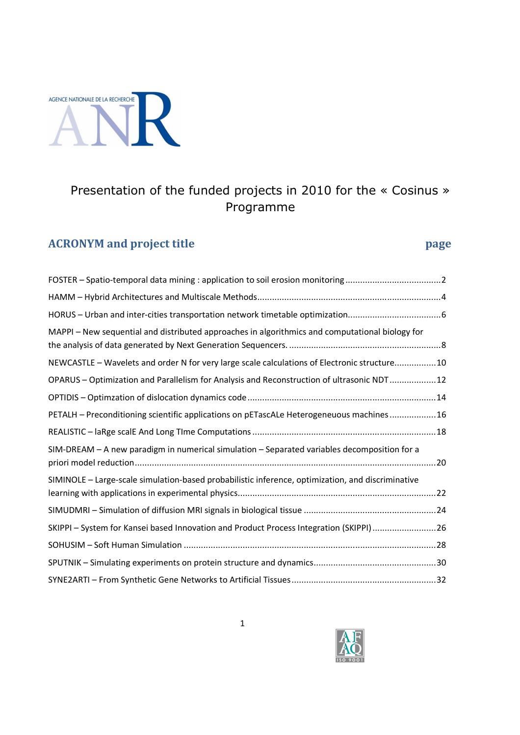

# Presentation of the funded projects in 2010 for the « Cosinus » Programme

# **ACRONYM and project title** *page page*

| MAPPI – New sequential and distributed approaches in algorithmics and computational biology for   |  |
|---------------------------------------------------------------------------------------------------|--|
| NEWCASTLE - Wavelets and order N for very large scale calculations of Electronic structure10      |  |
| OPARUS - Optimization and Parallelism for Analysis and Reconstruction of ultrasonic NDT12         |  |
|                                                                                                   |  |
| PETALH - Preconditioning scientific applications on pETascALe Heterogeneuous machines  16         |  |
|                                                                                                   |  |
| SIM-DREAM - A new paradigm in numerical simulation - Separated variables decomposition for a      |  |
| SIMINOLE - Large-scale simulation-based probabilistic inference, optimization, and discriminative |  |
|                                                                                                   |  |
| SKIPPI - System for Kansei based Innovation and Product Process Integration (SKIPPI)26            |  |
|                                                                                                   |  |
|                                                                                                   |  |
|                                                                                                   |  |

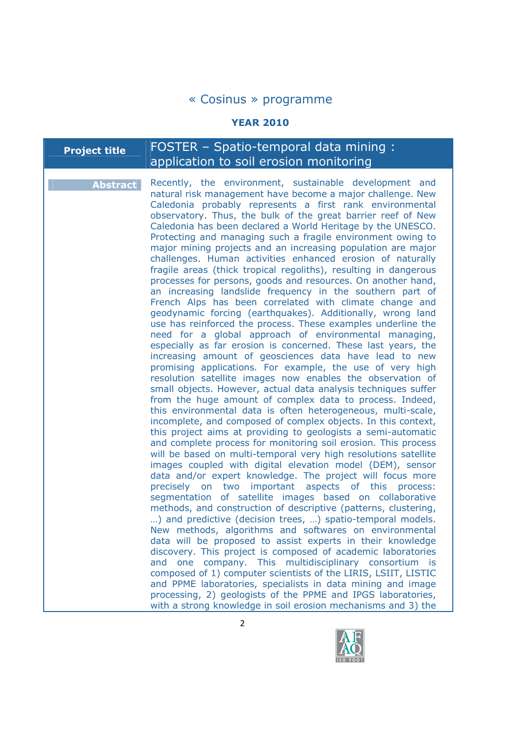#### **YEAR 2010**

## **Project title** FOSTER - Spatio-temporal data mining : application to soil erosion monitoring

**Abstract** Recently, the environment, sustainable development and natural risk management have become a major challenge. New Caledonia probably represents a first rank environmental observatory. Thus, the bulk of the great barrier reef of New Caledonia has been declared a World Heritage by the UNESCO. Protecting and managing such a fragile environment owing to major mining projects and an increasing population are major challenges. Human activities enhanced erosion of naturally fragile areas (thick tropical regoliths), resulting in dangerous processes for persons, goods and resources. On another hand, an increasing landslide frequency in the southern part of French Alps has been correlated with climate change and geodynamic forcing (earthquakes). Additionally, wrong land use has reinforced the process. These examples underline the need for a global approach of environmental managing, especially as far erosion is concerned. These last years, the increasing amount of geosciences data have lead to new promising applications. For example, the use of very high resolution satellite images now enables the observation of small objects. However, actual data analysis techniques suffer from the huge amount of complex data to process. Indeed, this environmental data is often heterogeneous, multi-scale, incomplete, and composed of complex objects. In this context, this project aims at providing to geologists a semi-automatic and complete process for monitoring soil erosion. This process will be based on multi-temporal very high resolutions satellite images coupled with digital elevation model (DEM), sensor data and/or expert knowledge. The project will focus more precisely on two important aspects of this process: segmentation of satellite images based on collaborative methods, and construction of descriptive (patterns, clustering, …) and predictive (decision trees, …) spatio-temporal models. New methods, algorithms and softwares on environmental data will be proposed to assist experts in their knowledge discovery. This project is composed of academic laboratories and one company. This multidisciplinary consortium is composed of 1) computer scientists of the LIRIS, LSIIT, LISTIC and PPME laboratories, specialists in data mining and image processing, 2) geologists of the PPME and IPGS laboratories, with a strong knowledge in soil erosion mechanisms and 3) the

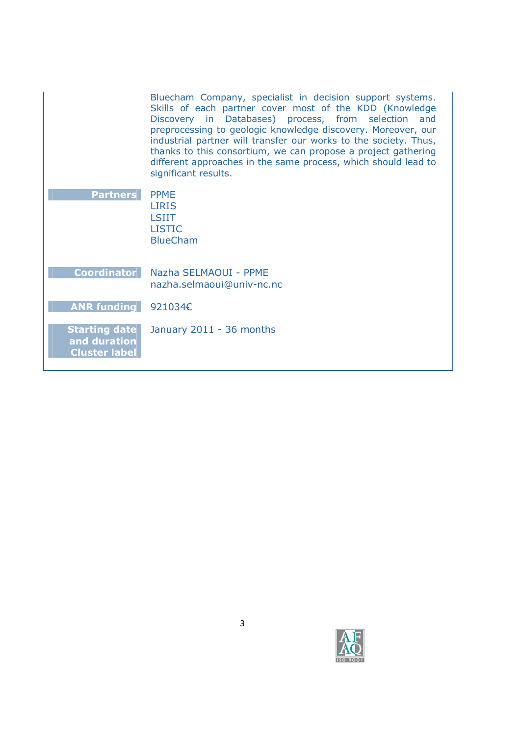| Bluecham Company, specialist in decision support systems.<br>Skills of each partner cover most of the KDD (Knowledge |
|----------------------------------------------------------------------------------------------------------------------|
|                                                                                                                      |
| Discovery in Databases) process, from selection and                                                                  |
| preprocessing to geologic knowledge discovery. Moreover, our                                                         |
| industrial partner will transfer our works to the society. Thus,                                                     |
| thanks to this consortium, we can propose a project gathering                                                        |
| different approaches in the same process, which should lead to                                                       |
| significant results.                                                                                                 |
|                                                                                                                      |

| <b>Partners</b> | <b>PPME</b>     |
|-----------------|-----------------|
|                 | <b>LIRIS</b>    |
|                 | LSIIT           |
|                 | <b>LISTIC</b>   |
|                 | <b>BlueCham</b> |
|                 |                 |
|                 |                 |

**Coordinator** Nazha SELMAOUI - PPME nazha.selmaoui@univ-nc.nc

# **ANR funding** 921034€

**Starting date and duration Cluster label**  January 2011 - 36 months



3

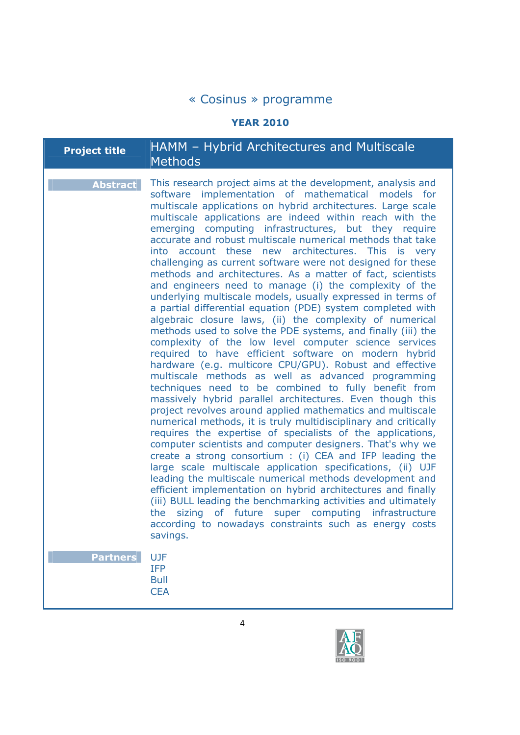## **YEAR 2010**

| Project title | HAMM - Hybrid Architectures and Multiscale |
|---------------|--------------------------------------------|
|               | $\blacksquare$ Methods                     |

| <b>Abstract</b> | This research project aims at the development, analysis and<br>software implementation of mathematical models for<br>multiscale applications on hybrid architectures. Large scale<br>multiscale applications are indeed within reach with the<br>emerging computing infrastructures, but they require<br>accurate and robust multiscale numerical methods that take<br>into account these new architectures. This is very<br>challenging as current software were not designed for these<br>methods and architectures. As a matter of fact, scientists<br>and engineers need to manage (i) the complexity of the<br>underlying multiscale models, usually expressed in terms of<br>a partial differential equation (PDE) system completed with<br>algebraic closure laws, (ii) the complexity of numerical<br>methods used to solve the PDE systems, and finally (iii) the<br>complexity of the low level computer science services<br>required to have efficient software on modern hybrid<br>hardware (e.g. multicore CPU/GPU). Robust and effective<br>multiscale methods as well as advanced programming<br>techniques need to be combined to fully benefit from<br>massively hybrid parallel architectures. Even though this<br>project revolves around applied mathematics and multiscale<br>numerical methods, it is truly multidisciplinary and critically<br>requires the expertise of specialists of the applications,<br>computer scientists and computer designers. That's why we<br>create a strong consortium : (i) CEA and IFP leading the<br>large scale multiscale application specifications, (ii) UJF<br>leading the multiscale numerical methods development and<br>efficient implementation on hybrid architectures and finally<br>(iii) BULL leading the benchmarking activities and ultimately<br>sizing<br>of future<br>super computing infrastructure<br>the<br>according to nowadays constraints such as energy costs<br>savings. |
|-----------------|-------------------------------------------------------------------------------------------------------------------------------------------------------------------------------------------------------------------------------------------------------------------------------------------------------------------------------------------------------------------------------------------------------------------------------------------------------------------------------------------------------------------------------------------------------------------------------------------------------------------------------------------------------------------------------------------------------------------------------------------------------------------------------------------------------------------------------------------------------------------------------------------------------------------------------------------------------------------------------------------------------------------------------------------------------------------------------------------------------------------------------------------------------------------------------------------------------------------------------------------------------------------------------------------------------------------------------------------------------------------------------------------------------------------------------------------------------------------------------------------------------------------------------------------------------------------------------------------------------------------------------------------------------------------------------------------------------------------------------------------------------------------------------------------------------------------------------------------------------------------------------------------------------------------------------------------------------------|
| <b>Partners</b> | <b>UJF</b><br><b>IFP</b><br><b>Bull</b><br><b>CEA</b>                                                                                                                                                                                                                                                                                                                                                                                                                                                                                                                                                                                                                                                                                                                                                                                                                                                                                                                                                                                                                                                                                                                                                                                                                                                                                                                                                                                                                                                                                                                                                                                                                                                                                                                                                                                                                                                                                                       |

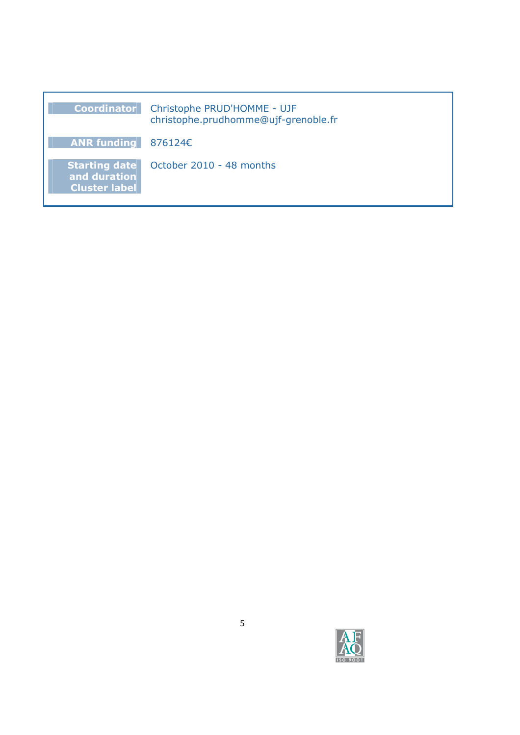| <b>Coordinator</b>                                           | Christophe PRUD'HOMME - UJF<br>christophe.prudhomme@ujf-grenoble.fr |
|--------------------------------------------------------------|---------------------------------------------------------------------|
| ANR funding $876124E$                                        |                                                                     |
| <b>Starting date</b><br>and duration<br><b>Cluster label</b> | October 2010 - 48 months                                            |

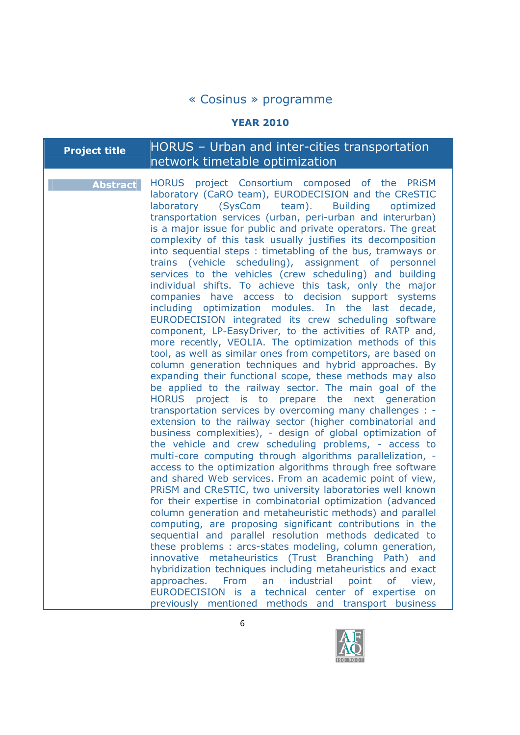#### **YEAR 2010**

# **Project title** HORUS – Urban and inter-cities transportation network timetable optimization

**Abstract** HORUS project Consortium composed of the PRiSM laboratory (CaRO team), EURODECISION and the CReSTIC laboratory (SysCom team). Building optimized transportation services (urban, peri-urban and interurban) is a major issue for public and private operators. The great complexity of this task usually justifies its decomposition into sequential steps : timetabling of the bus, tramways or trains (vehicle scheduling), assignment of personnel services to the vehicles (crew scheduling) and building individual shifts. To achieve this task, only the major companies have access to decision support systems including optimization modules. In the last decade, EURODECISION integrated its crew scheduling software component, LP-EasyDriver, to the activities of RATP and, more recently, VEOLIA. The optimization methods of this tool, as well as similar ones from competitors, are based on column generation techniques and hybrid approaches. By expanding their functional scope, these methods may also be applied to the railway sector. The main goal of the HORUS project is to prepare the next generation transportation services by overcoming many challenges : extension to the railway sector (higher combinatorial and business complexities), - design of global optimization of the vehicle and crew scheduling problems, - access to multi-core computing through algorithms parallelization, access to the optimization algorithms through free software and shared Web services. From an academic point of view, PRiSM and CReSTIC, two university laboratories well known for their expertise in combinatorial optimization (advanced column generation and metaheuristic methods) and parallel computing, are proposing significant contributions in the sequential and parallel resolution methods dedicated to these problems : arcs-states modeling, column generation, innovative metaheuristics (Trust Branching Path) and hybridization techniques including metaheuristics and exact approaches. From an industrial point of view, EURODECISION is a technical center of expertise on previously mentioned methods and transport business

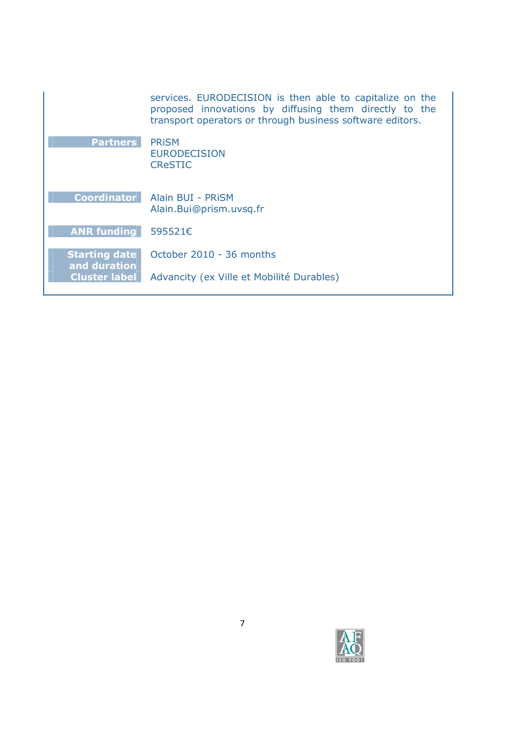| services. EURODECISION is then able to capitalize on the<br>proposed innovations by diffusing them directly to the<br>transport operators or through business software editors. |
|---------------------------------------------------------------------------------------------------------------------------------------------------------------------------------|
| <b>PRISM</b>                                                                                                                                                                    |
| <b>EURODECISION</b>                                                                                                                                                             |
| <b>CReSTIC</b>                                                                                                                                                                  |
| Alain BUI - PRISM                                                                                                                                                               |
| Alain.Bui@prism.uvsq.fr                                                                                                                                                         |
| 595521€                                                                                                                                                                         |
| October 2010 - 36 months                                                                                                                                                        |
| Advancity (ex Ville et Mobilité Durables)                                                                                                                                       |
|                                                                                                                                                                                 |

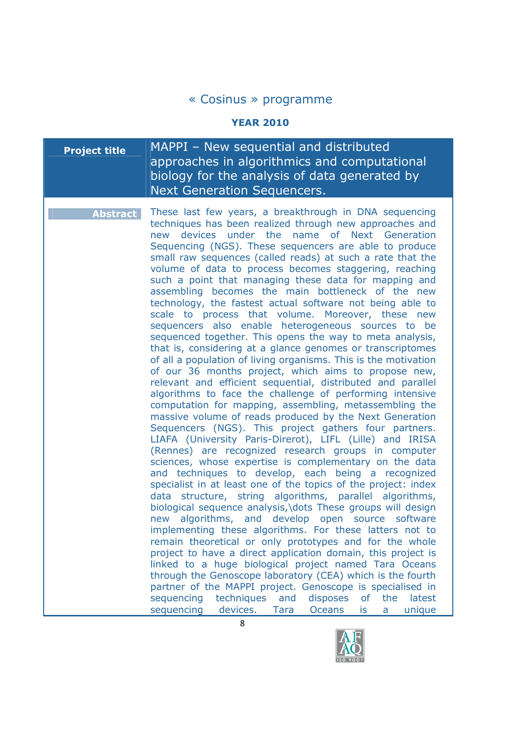#### **YEAR 2010**

## **Project title** | MAPPI – New sequential and distributed approaches in algorithmics and computational biology for the analysis of data generated by Next Generation Sequencers.

**Abstract** These last few years, a breakthrough in DNA sequencing techniques has been realized through new approaches and new devices under the name of Next Generation Sequencing (NGS). These sequencers are able to produce small raw sequences (called reads) at such a rate that the volume of data to process becomes staggering, reaching such a point that managing these data for mapping and assembling becomes the main bottleneck of the new technology, the fastest actual software not being able to scale to process that volume. Moreover, these new sequencers also enable heterogeneous sources to be sequenced together. This opens the way to meta analysis, that is, considering at a glance genomes or transcriptomes of all a population of living organisms. This is the motivation of our 36 months project, which aims to propose new, relevant and efficient sequential, distributed and parallel algorithms to face the challenge of performing intensive computation for mapping, assembling, metassembling the massive volume of reads produced by the Next Generation Sequencers (NGS). This project gathers four partners. LIAFA (University Paris-Direrot), LIFL (Lille) and IRISA (Rennes) are recognized research groups in computer sciences, whose expertise is complementary on the data and techniques to develop, each being a recognized specialist in at least one of the topics of the project: index data structure, string algorithms, parallel algorithms, biological sequence analysis,\dots These groups will design new algorithms, and develop open source software implementing these algorithms. For these latters not to remain theoretical or only prototypes and for the whole project to have a direct application domain, this project is linked to a huge biological project named Tara Oceans through the Genoscope laboratory (CEA) which is the fourth partner of the MAPPI project. Genoscope is specialised in sequencing techniques and disposes of the latest sequencing devices. Tara Oceans is a unique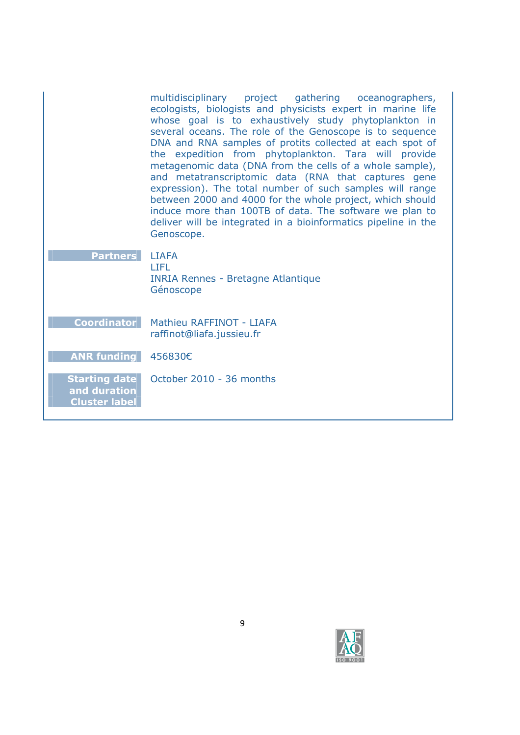|                                                              | multidisciplinary project gathering oceanographers,<br>ecologists, biologists and physicists expert in marine life<br>whose goal is to exhaustively study phytoplankton in<br>several oceans. The role of the Genoscope is to sequence<br>DNA and RNA samples of protits collected at each spot of<br>the expedition from phytoplankton. Tara will provide<br>metagenomic data (DNA from the cells of a whole sample),<br>and metatranscriptomic data (RNA that captures gene<br>expression). The total number of such samples will range<br>between 2000 and 4000 for the whole project, which should<br>induce more than 100TB of data. The software we plan to<br>deliver will be integrated in a bioinformatics pipeline in the<br>Genoscope. |
|--------------------------------------------------------------|---------------------------------------------------------------------------------------------------------------------------------------------------------------------------------------------------------------------------------------------------------------------------------------------------------------------------------------------------------------------------------------------------------------------------------------------------------------------------------------------------------------------------------------------------------------------------------------------------------------------------------------------------------------------------------------------------------------------------------------------------|
| <b>Partners</b>                                              | <b>LIAFA</b><br><b>LIFL</b><br><b>INRIA Rennes - Bretagne Atlantique</b><br>Génoscope                                                                                                                                                                                                                                                                                                                                                                                                                                                                                                                                                                                                                                                             |
| <b>Coordinator</b>                                           | Mathieu RAFFINOT - LIAFA<br>raffinot@liafa.jussieu.fr                                                                                                                                                                                                                                                                                                                                                                                                                                                                                                                                                                                                                                                                                             |
| <b>ANR funding</b>                                           | 456830€                                                                                                                                                                                                                                                                                                                                                                                                                                                                                                                                                                                                                                                                                                                                           |
| <b>Starting date</b><br>and duration<br><b>Cluster label</b> | October 2010 - 36 months                                                                                                                                                                                                                                                                                                                                                                                                                                                                                                                                                                                                                                                                                                                          |

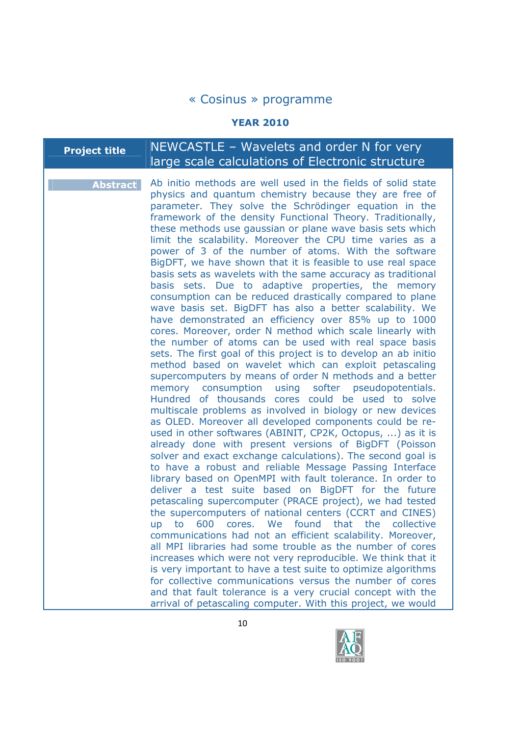#### **YEAR 2010**

# **Project title** NEWCASTLE - Wavelets and order N for very large scale calculations of Electronic structure

**Abstract** Ab initio methods are well used in the fields of solid state physics and quantum chemistry because they are free of parameter. They solve the Schrödinger equation in the framework of the density Functional Theory. Traditionally, these methods use gaussian or plane wave basis sets which limit the scalability. Moreover the CPU time varies as a power of 3 of the number of atoms. With the software BigDFT, we have shown that it is feasible to use real space basis sets as wavelets with the same accuracy as traditional basis sets. Due to adaptive properties, the memory consumption can be reduced drastically compared to plane wave basis set. BigDFT has also a better scalability. We have demonstrated an efficiency over 85% up to 1000 cores. Moreover, order N method which scale linearly with the number of atoms can be used with real space basis sets. The first goal of this project is to develop an ab initio method based on wavelet which can exploit petascaling supercomputers by means of order N methods and a better memory consumption using softer pseudopotentials. Hundred of thousands cores could be used to solve multiscale problems as involved in biology or new devices as OLED. Moreover all developed components could be reused in other softwares (ABINIT, CP2K, Octopus, ...) as it is already done with present versions of BigDFT (Poisson solver and exact exchange calculations). The second goal is to have a robust and reliable Message Passing Interface library based on OpenMPI with fault tolerance. In order to deliver a test suite based on BigDFT for the future petascaling supercomputer (PRACE project), we had tested the supercomputers of national centers (CCRT and CINES) up to 600 cores. We found that the collective communications had not an efficient scalability. Moreover, all MPI libraries had some trouble as the number of cores increases which were not very reproducible. We think that it is very important to have a test suite to optimize algorithms for collective communications versus the number of cores and that fault tolerance is a very crucial concept with the arrival of petascaling computer. With this project, we would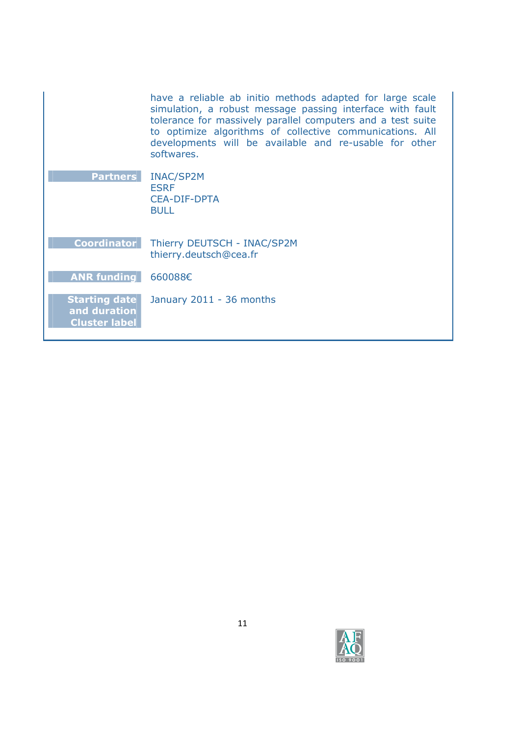|                                                              | have a reliable ab initio methods adapted for large scale<br>simulation, a robust message passing interface with fault<br>tolerance for massively parallel computers and a test suite<br>to optimize algorithms of collective communications. All<br>developments will be available and re-usable for other<br>softwares. |
|--------------------------------------------------------------|---------------------------------------------------------------------------------------------------------------------------------------------------------------------------------------------------------------------------------------------------------------------------------------------------------------------------|
| <b>Partners</b>                                              | <b>INAC/SP2M</b><br><b>ESRF</b><br><b>CEA-DIF-DPTA</b><br><b>BULL</b>                                                                                                                                                                                                                                                     |
| <b>Coordinator</b>                                           | Thierry DEUTSCH - INAC/SP2M<br>thierry.deutsch@cea.fr                                                                                                                                                                                                                                                                     |
| <b>ANR funding</b>                                           | 660088€                                                                                                                                                                                                                                                                                                                   |
| <b>Starting date</b><br>and duration<br><b>Cluster label</b> | January 2011 - 36 months                                                                                                                                                                                                                                                                                                  |

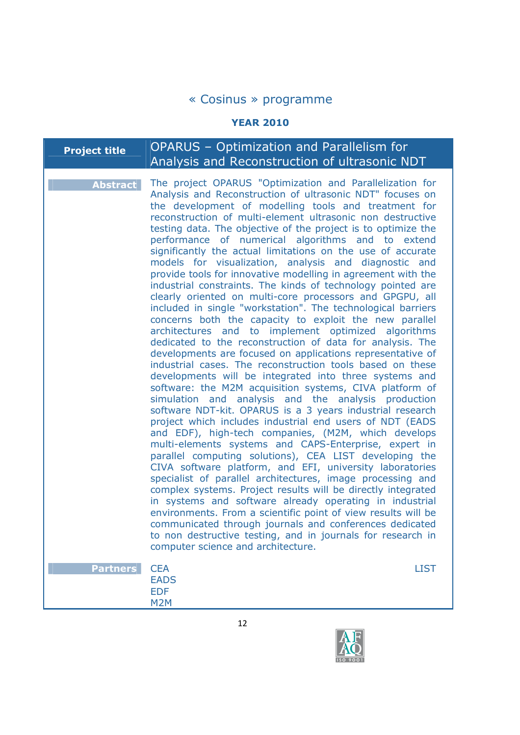## **YEAR 2010**

| Project title $^{\mathrm{!}}$ | <b>OPARUS</b> – Optimization and Parallelism for |
|-------------------------------|--------------------------------------------------|
|                               | Analysis and Reconstruction of ultrasonic NDT    |
|                               |                                                  |

| <b>Abstract</b> | The project OPARUS "Optimization and Parallelization for<br>Analysis and Reconstruction of ultrasonic NDT" focuses on<br>the development of modelling tools and treatment for<br>reconstruction of multi-element ultrasonic non destructive<br>testing data. The objective of the project is to optimize the<br>performance of numerical algorithms and to extend<br>significantly the actual limitations on the use of accurate<br>models for visualization, analysis and diagnostic and<br>provide tools for innovative modelling in agreement with the<br>industrial constraints. The kinds of technology pointed are<br>clearly oriented on multi-core processors and GPGPU, all<br>included in single "workstation". The technological barriers<br>concerns both the capacity to exploit the new parallel<br>architectures and to implement optimized algorithms<br>dedicated to the reconstruction of data for analysis. The<br>developments are focused on applications representative of<br>industrial cases. The reconstruction tools based on these<br>developments will be integrated into three systems and<br>software: the M2M acquisition systems, CIVA platform of<br>simulation and analysis and the analysis production<br>software NDT-kit. OPARUS is a 3 years industrial research<br>project which includes industrial end users of NDT (EADS<br>and EDF), high-tech companies, (M2M, which develops<br>multi-elements systems and CAPS-Enterprise, expert in<br>parallel computing solutions), CEA LIST developing the<br>CIVA software platform, and EFI, university laboratories<br>specialist of parallel architectures, image processing and<br>complex systems. Project results will be directly integrated<br>in systems and software already operating in industrial<br>environments. From a scientific point of view results will be<br>communicated through journals and conferences dedicated<br>to non destructive testing, and in journals for research in |             |
|-----------------|----------------------------------------------------------------------------------------------------------------------------------------------------------------------------------------------------------------------------------------------------------------------------------------------------------------------------------------------------------------------------------------------------------------------------------------------------------------------------------------------------------------------------------------------------------------------------------------------------------------------------------------------------------------------------------------------------------------------------------------------------------------------------------------------------------------------------------------------------------------------------------------------------------------------------------------------------------------------------------------------------------------------------------------------------------------------------------------------------------------------------------------------------------------------------------------------------------------------------------------------------------------------------------------------------------------------------------------------------------------------------------------------------------------------------------------------------------------------------------------------------------------------------------------------------------------------------------------------------------------------------------------------------------------------------------------------------------------------------------------------------------------------------------------------------------------------------------------------------------------------------------------------------------------------------------------------------------------------------------------------|-------------|
| <b>Partners</b> | computer science and architecture.<br><b>CEA</b><br><b>EADS</b><br><b>EDF</b>                                                                                                                                                                                                                                                                                                                                                                                                                                                                                                                                                                                                                                                                                                                                                                                                                                                                                                                                                                                                                                                                                                                                                                                                                                                                                                                                                                                                                                                                                                                                                                                                                                                                                                                                                                                                                                                                                                                | <b>LIST</b> |

M2M

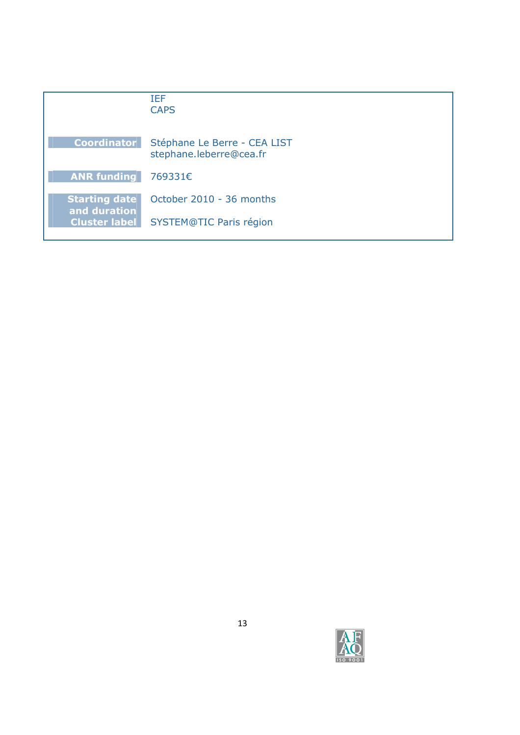|                                      | TFF<br><b>CAPS</b>                                      |
|--------------------------------------|---------------------------------------------------------|
| <b>Coordinator</b>                   | Stéphane Le Berre - CEA LIST<br>stephane.leberre@cea.fr |
| <b>ANR funding</b>                   | 769331€                                                 |
| <b>Starting date</b><br>and duration | October 2010 - 36 months                                |
| <b>Cluster label</b>                 | <b>SYSTEM@TIC Paris région</b>                          |

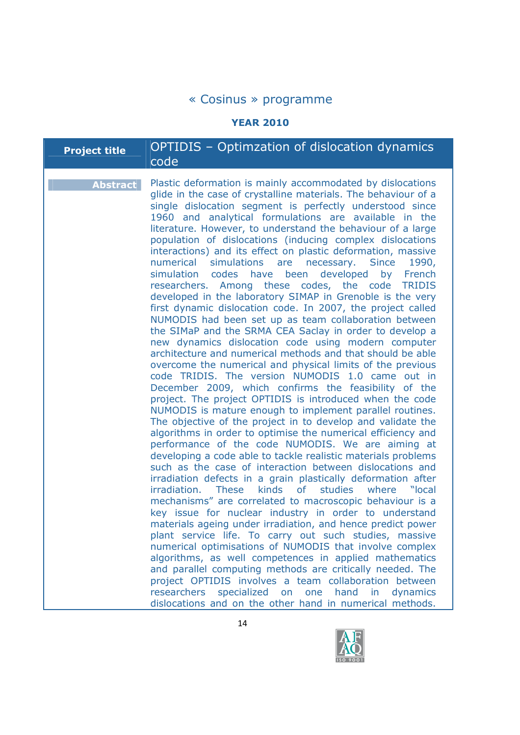## **YEAR 2010**

| <b>Project title</b> | <b>OPTIDIS</b> – Optimzation of dislocation dynamics<br>code                                                                                                                                                                                                                                                                                                                                                                                                                                                                                                                                                                                                                                                                                                                                                                                                                                                                                                                                                                                                                                                                                                                                                                                                                                                                                                                                                                                                                                                                                                                                                                                                                                                                                                                                                                                                                                                                                                                                                                                                                                                                                                                                                                                                                                                                                                                                           |
|----------------------|--------------------------------------------------------------------------------------------------------------------------------------------------------------------------------------------------------------------------------------------------------------------------------------------------------------------------------------------------------------------------------------------------------------------------------------------------------------------------------------------------------------------------------------------------------------------------------------------------------------------------------------------------------------------------------------------------------------------------------------------------------------------------------------------------------------------------------------------------------------------------------------------------------------------------------------------------------------------------------------------------------------------------------------------------------------------------------------------------------------------------------------------------------------------------------------------------------------------------------------------------------------------------------------------------------------------------------------------------------------------------------------------------------------------------------------------------------------------------------------------------------------------------------------------------------------------------------------------------------------------------------------------------------------------------------------------------------------------------------------------------------------------------------------------------------------------------------------------------------------------------------------------------------------------------------------------------------------------------------------------------------------------------------------------------------------------------------------------------------------------------------------------------------------------------------------------------------------------------------------------------------------------------------------------------------------------------------------------------------------------------------------------------------|
| <b>Abstract</b>      | Plastic deformation is mainly accommodated by dislocations<br>glide in the case of crystalline materials. The behaviour of a<br>single dislocation segment is perfectly understood since<br>1960 and analytical formulations are available in the<br>literature. However, to understand the behaviour of a large<br>population of dislocations (inducing complex dislocations<br>interactions) and its effect on plastic deformation, massive<br>numerical<br>simulations are necessary. Since<br>1990,<br>simulation<br>codes have<br>been<br>developed<br>by<br>French<br>researchers. Among these codes, the code<br><b>TRIDIS</b><br>developed in the laboratory SIMAP in Grenoble is the very<br>first dynamic dislocation code. In 2007, the project called<br>NUMODIS had been set up as team collaboration between<br>the SIMaP and the SRMA CEA Saclay in order to develop a<br>new dynamics dislocation code using modern computer<br>architecture and numerical methods and that should be able<br>overcome the numerical and physical limits of the previous<br>code TRIDIS. The version NUMODIS 1.0 came out in<br>December 2009, which confirms the feasibility of the<br>project. The project OPTIDIS is introduced when the code<br>NUMODIS is mature enough to implement parallel routines.<br>The objective of the project in to develop and validate the<br>algorithms in order to optimise the numerical efficiency and<br>performance of the code NUMODIS. We are aiming at<br>developing a code able to tackle realistic materials problems<br>such as the case of interaction between dislocations and<br>irradiation defects in a grain plastically deformation after<br>kinds<br>irradiation.<br><b>These</b><br><b>of</b><br>studies<br>where<br>"local"<br>mechanisms" are correlated to macroscopic behaviour is a<br>key issue for nuclear industry in order to understand<br>materials ageing under irradiation, and hence predict power<br>plant service life. To carry out such studies, massive<br>numerical optimisations of NUMODIS that involve complex<br>algorithms, as well competences in applied mathematics<br>and parallel computing methods are critically needed. The<br>project OPTIDIS involves a team collaboration between<br>researchers<br>specialized<br>on one<br>hand in<br>dynamics<br>dislocations and on the other hand in numerical methods. |

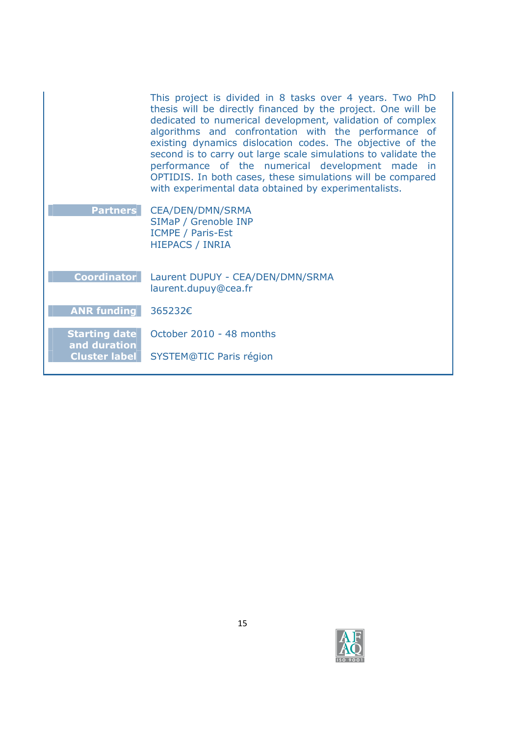| This project is divided in 8 tasks over 4 years. Two PhD<br>thesis will be directly financed by the project. One will be<br>dedicated to numerical development, validation of complex<br>algorithms and confrontation with the performance of<br>existing dynamics dislocation codes. The objective of the<br>second is to carry out large scale simulations to validate the<br>performance of the numerical development made in<br>OPTIDIS. In both cases, these simulations will be compared<br>with experimental data obtained by experimentalists. |
|--------------------------------------------------------------------------------------------------------------------------------------------------------------------------------------------------------------------------------------------------------------------------------------------------------------------------------------------------------------------------------------------------------------------------------------------------------------------------------------------------------------------------------------------------------|
| <b>CEA/DEN/DMN/SRMA</b><br>SIMaP / Grenoble INP<br><b>ICMPE / Paris-Est</b><br><b>HIEPACS / INRIA</b>                                                                                                                                                                                                                                                                                                                                                                                                                                                  |
| Laurent DUPUY - CEA/DEN/DMN/SRMA<br>laurent.dupuy@cea.fr                                                                                                                                                                                                                                                                                                                                                                                                                                                                                               |
| 365232€                                                                                                                                                                                                                                                                                                                                                                                                                                                                                                                                                |
| October 2010 - 48 months<br>SYSTEM@TIC Paris région                                                                                                                                                                                                                                                                                                                                                                                                                                                                                                    |
|                                                                                                                                                                                                                                                                                                                                                                                                                                                                                                                                                        |

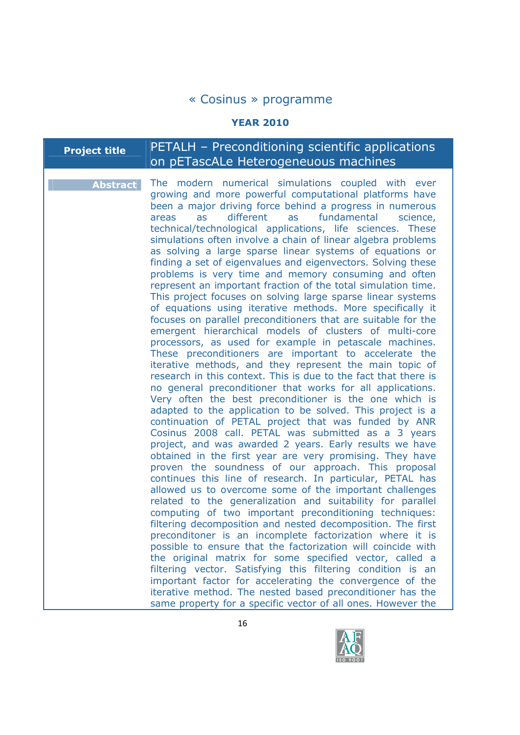## **YEAR 2010**

## **Project title** PETALH – Preconditioning scientific applications on pETascALe Heterogeneuous machines

| <b>Abstract</b> | The modern numerical simulations coupled with ever<br>growing and more powerful computational platforms have<br>been a major driving force behind a progress in numerous<br>different as fundamental<br>as<br>science,<br>areas<br>technical/technological applications, life sciences. These<br>simulations often involve a chain of linear algebra problems<br>as solving a large sparse linear systems of equations or<br>finding a set of eigenvalues and eigenvectors. Solving these<br>problems is very time and memory consuming and often<br>represent an important fraction of the total simulation time.<br>This project focuses on solving large sparse linear systems<br>of equations using iterative methods. More specifically it<br>focuses on parallel preconditioners that are suitable for the<br>emergent hierarchical models of clusters of multi-core<br>processors, as used for example in petascale machines.<br>These preconditioners are important to accelerate the<br>iterative methods, and they represent the main topic of<br>research in this context. This is due to the fact that there is<br>no general preconditioner that works for all applications.<br>Very often the best preconditioner is the one which is<br>adapted to the application to be solved. This project is a<br>continuation of PETAL project that was funded by ANR<br>Cosinus 2008 call. PETAL was submitted as a 3 years<br>project, and was awarded 2 years. Early results we have<br>obtained in the first year are very promising. They have<br>proven the soundness of our approach. This proposal<br>continues this line of research. In particular, PETAL has<br>allowed us to overcome some of the important challenges<br>related to the generalization and suitability for parallel<br>computing of two important preconditioning techniques:<br>filtering decomposition and nested decomposition. The first<br>preconditoner is an incomplete factorization where it is<br>possible to ensure that the factorization will coincide with<br>the original matrix for some specified vector, called a<br>filtering vector. Satisfying this filtering condition is an<br>important factor for accelerating the convergence of the |
|-----------------|-------------------------------------------------------------------------------------------------------------------------------------------------------------------------------------------------------------------------------------------------------------------------------------------------------------------------------------------------------------------------------------------------------------------------------------------------------------------------------------------------------------------------------------------------------------------------------------------------------------------------------------------------------------------------------------------------------------------------------------------------------------------------------------------------------------------------------------------------------------------------------------------------------------------------------------------------------------------------------------------------------------------------------------------------------------------------------------------------------------------------------------------------------------------------------------------------------------------------------------------------------------------------------------------------------------------------------------------------------------------------------------------------------------------------------------------------------------------------------------------------------------------------------------------------------------------------------------------------------------------------------------------------------------------------------------------------------------------------------------------------------------------------------------------------------------------------------------------------------------------------------------------------------------------------------------------------------------------------------------------------------------------------------------------------------------------------------------------------------------------------------------------------------------------------------------------------------------------------------------------------|
|                 | iterative method. The nested based preconditioner has the<br>same property for a specific vector of all ones. However the                                                                                                                                                                                                                                                                                                                                                                                                                                                                                                                                                                                                                                                                                                                                                                                                                                                                                                                                                                                                                                                                                                                                                                                                                                                                                                                                                                                                                                                                                                                                                                                                                                                                                                                                                                                                                                                                                                                                                                                                                                                                                                                       |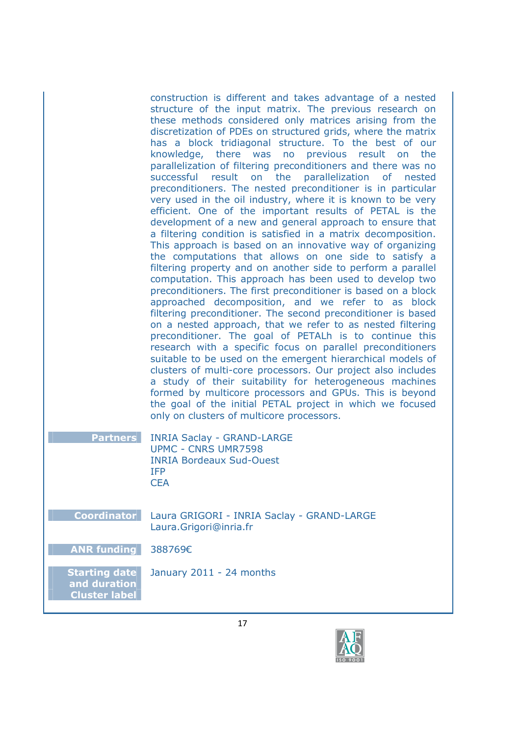construction is different and takes advantage of a nested structure of the input matrix. The previous research on these methods considered only matrices arising from the discretization of PDEs on structured grids, where the matrix has a block tridiagonal structure. To the best of our knowledge, there was no previous result on the parallelization of filtering preconditioners and there was no successful result on the parallelization of nested preconditioners. The nested preconditioner is in particular very used in the oil industry, where it is known to be very efficient. One of the important results of PETAL is the development of a new and general approach to ensure that a filtering condition is satisfied in a matrix decomposition. This approach is based on an innovative way of organizing the computations that allows on one side to satisfy a filtering property and on another side to perform a parallel computation. This approach has been used to develop two preconditioners. The first preconditioner is based on a block approached decomposition, and we refer to as block filtering preconditioner. The second preconditioner is based on a nested approach, that we refer to as nested filtering preconditioner. The goal of PETALh is to continue this research with a specific focus on parallel preconditioners suitable to be used on the emergent hierarchical models of clusters of multi-core processors. Our project also includes a study of their suitability for heterogeneous machines formed by multicore processors and GPUs. This is beyond the goal of the initial PETAL project in which we focused only on clusters of multicore processors.

| <b>Partners</b> INRIA Saclay - GRAND-LARGE |
|--------------------------------------------|
| <b>UPMC - CNRS UMR7598</b>                 |
| <b>INRIA Bordeaux Sud-Ouest</b>            |
| <b>TFP</b>                                 |
| <b>CFA</b>                                 |

**Coordinator** Laura GRIGORI - INRIA Saclay - GRAND-LARGE Laura.Grigori@inria.fr

**ANR funding** 388769€

**Starting date and duration Cluster label** 

January 2011 - 24 months

17

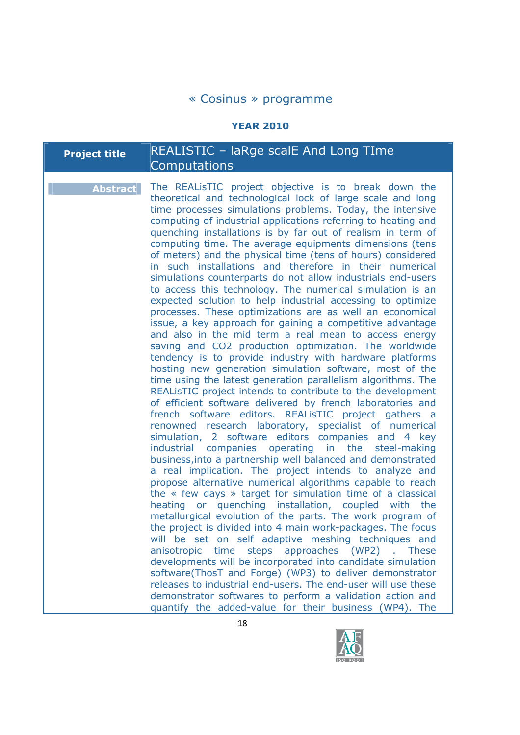#### **YEAR 2010**

| <b>Project title</b> | REALISTIC - laRge scalE And Long TIme |
|----------------------|---------------------------------------|
|                      | <b>Computations</b>                   |

**Abstract** The REALisTIC project objective is to break down the theoretical and technological lock of large scale and long time processes simulations problems. Today, the intensive computing of industrial applications referring to heating and quenching installations is by far out of realism in term of computing time. The average equipments dimensions (tens of meters) and the physical time (tens of hours) considered in such installations and therefore in their numerical simulations counterparts do not allow industrials end-users to access this technology. The numerical simulation is an expected solution to help industrial accessing to optimize processes. These optimizations are as well an economical issue, a key approach for gaining a competitive advantage and also in the mid term a real mean to access energy saving and CO2 production optimization. The worldwide tendency is to provide industry with hardware platforms hosting new generation simulation software, most of the time using the latest generation parallelism algorithms. The REALisTIC project intends to contribute to the development of efficient software delivered by french laboratories and french software editors. REALisTIC project gathers a renowned research laboratory, specialist of numerical simulation, 2 software editors companies and 4 key industrial companies operating in the steel-making business,into a partnership well balanced and demonstrated a real implication. The project intends to analyze and propose alternative numerical algorithms capable to reach the « few days » target for simulation time of a classical heating or quenching installation, coupled with the metallurgical evolution of the parts. The work program of the project is divided into 4 main work-packages. The focus will be set on self adaptive meshing techniques and anisotropic time steps approaches (WP2) . These developments will be incorporated into candidate simulation software(ThosT and Forge) (WP3) to deliver demonstrator releases to industrial end-users. The end-user will use these demonstrator softwares to perform a validation action and quantify the added-value for their business (WP4). The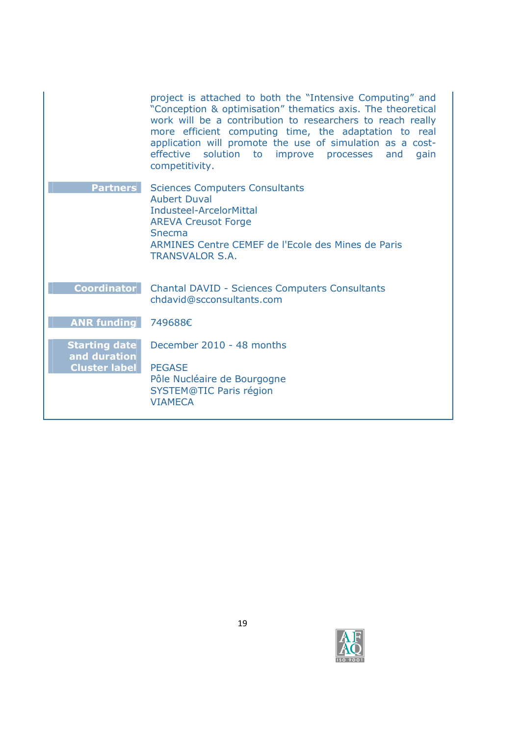|                                      | project is attached to both the "Intensive Computing" and<br>"Conception & optimisation" thematics axis. The theoretical<br>work will be a contribution to researchers to reach really<br>more efficient computing time, the adaptation to real<br>application will promote the use of simulation as a cost-<br>effective solution to improve processes<br>and<br>gain<br>competitivity. |
|--------------------------------------|------------------------------------------------------------------------------------------------------------------------------------------------------------------------------------------------------------------------------------------------------------------------------------------------------------------------------------------------------------------------------------------|
| <b>Partners</b>                      | <b>Sciences Computers Consultants</b><br><b>Aubert Duval</b><br>Industeel-ArcelorMittal<br><b>AREVA Creusot Forge</b><br>Snecma<br>ARMINES Centre CEMEF de l'Ecole des Mines de Paris<br><b>TRANSVALOR S.A.</b>                                                                                                                                                                          |
| <b>Coordinator</b>                   | <b>Chantal DAVID - Sciences Computers Consultants</b><br>chdavid@scconsultants.com                                                                                                                                                                                                                                                                                                       |
| <b>ANR funding</b>                   | 749688€                                                                                                                                                                                                                                                                                                                                                                                  |
| <b>Starting date</b><br>and duration | December 2010 - 48 months                                                                                                                                                                                                                                                                                                                                                                |
| <b>Cluster label</b>                 | <b>PEGASE</b><br>Pôle Nucléaire de Bourgogne<br><b>SYSTEM@TIC Paris région</b><br><b>VIAMECA</b>                                                                                                                                                                                                                                                                                         |

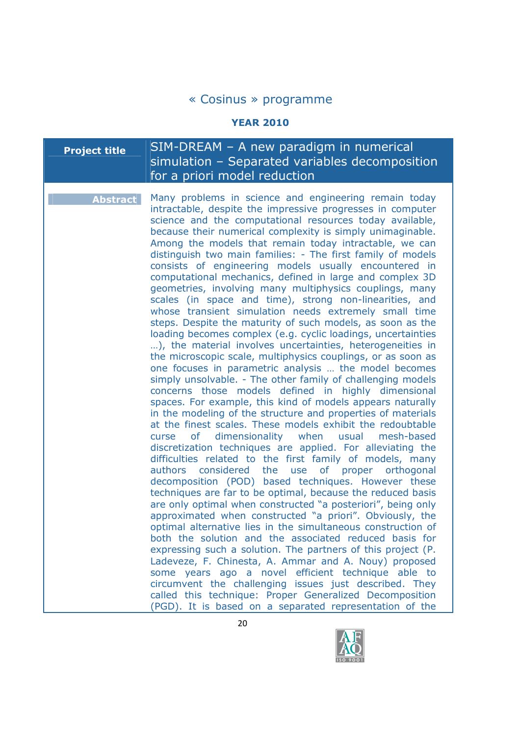#### **YEAR 2010**

# **Project title** SIM-DREAM – A new paradigm in numerical simulation – Separated variables decomposition for a priori model reduction

**Abstract** Many problems in science and engineering remain today intractable, despite the impressive progresses in computer science and the computational resources today available, because their numerical complexity is simply unimaginable. Among the models that remain today intractable, we can distinguish two main families: - The first family of models consists of engineering models usually encountered in computational mechanics, defined in large and complex 3D geometries, involving many multiphysics couplings, many scales (in space and time), strong non-linearities, and whose transient simulation needs extremely small time steps. Despite the maturity of such models, as soon as the loading becomes complex (e.g. cyclic loadings, uncertainties …), the material involves uncertainties, heterogeneities in the microscopic scale, multiphysics couplings, or as soon as one focuses in parametric analysis … the model becomes simply unsolvable. - The other family of challenging models concerns those models defined in highly dimensional spaces. For example, this kind of models appears naturally in the modeling of the structure and properties of materials at the finest scales. These models exhibit the redoubtable curse of dimensionality when usual mesh-based discretization techniques are applied. For alleviating the difficulties related to the first family of models, many authors considered the use of proper orthogonal decomposition (POD) based techniques. However these techniques are far to be optimal, because the reduced basis are only optimal when constructed "a posteriori", being only approximated when constructed "a priori". Obviously, the optimal alternative lies in the simultaneous construction of both the solution and the associated reduced basis for expressing such a solution. The partners of this project (P. Ladeveze, F. Chinesta, A. Ammar and A. Nouy) proposed some years ago a novel efficient technique able to circumvent the challenging issues just described. They called this technique: Proper Generalized Decomposition (PGD). It is based on a separated representation of the

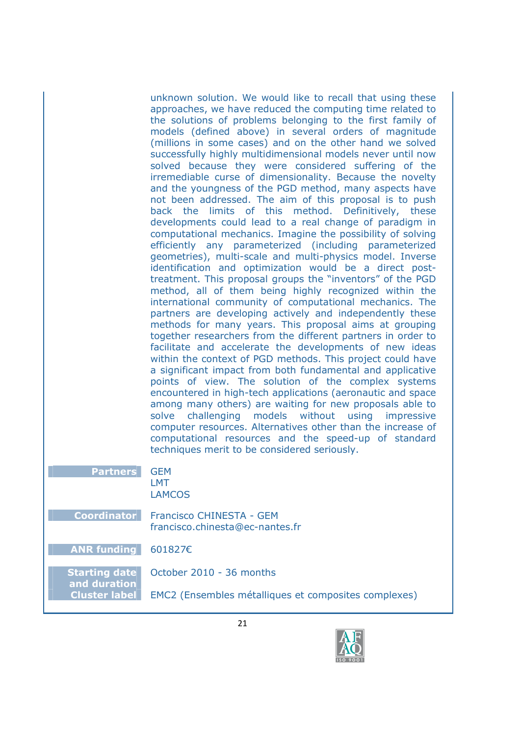unknown solution. We would like to recall that using these approaches, we have reduced the computing time related to the solutions of problems belonging to the first family of models (defined above) in several orders of magnitude (millions in some cases) and on the other hand we solved successfully highly multidimensional models never until now solved because they were considered suffering of the irremediable curse of dimensionality. Because the novelty and the youngness of the PGD method, many aspects have not been addressed. The aim of this proposal is to push back the limits of this method. Definitively, these developments could lead to a real change of paradigm in computational mechanics. Imagine the possibility of solving efficiently any parameterized (including parameterized geometries), multi-scale and multi-physics model. Inverse identification and optimization would be a direct posttreatment. This proposal groups the "inventors" of the PGD method, all of them being highly recognized within the international community of computational mechanics. The partners are developing actively and independently these methods for many years. This proposal aims at grouping together researchers from the different partners in order to facilitate and accelerate the developments of new ideas within the context of PGD methods. This project could have a significant impact from both fundamental and applicative points of view. The solution of the complex systems encountered in high-tech applications (aeronautic and space among many others) are waiting for new proposals able to solve challenging models without using impressive computer resources. Alternatives other than the increase of computational resources and the speed-up of standard techniques merit to be considered seriously.

**Partners** GEM

LMT LAMCOS

**Coordinator** Francisco CHINESTA - GEM francisco.chinesta@ec-nantes.fr

**ANR funding** 601827€

**Starting date and duration**

October 2010 - 36 months

**Cluster label** EMC2 (Ensembles métalliques et composites complexes)

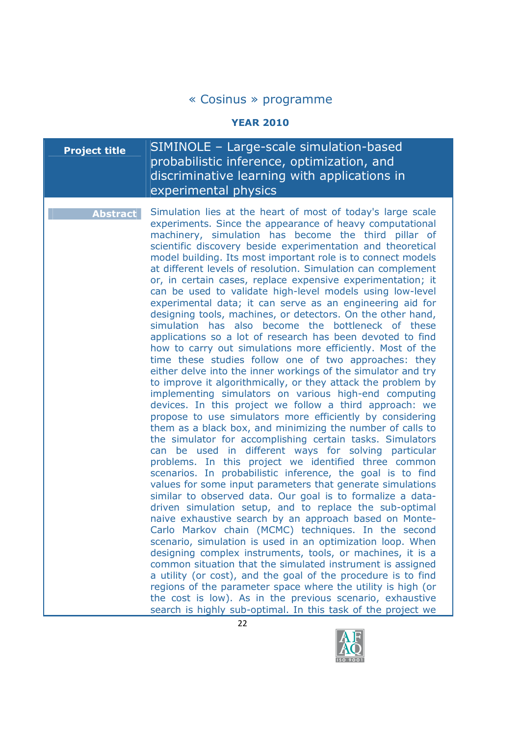#### **YEAR 2010**

# **Project title** SIMINOLE – Large-scale simulation-based probabilistic inference, optimization, and discriminative learning with applications in experimental physics

**Abstract** Simulation lies at the heart of most of today's large scale experiments. Since the appearance of heavy computational machinery, simulation has become the third pillar of scientific discovery beside experimentation and theoretical model building. Its most important role is to connect models at different levels of resolution. Simulation can complement or, in certain cases, replace expensive experimentation; it can be used to validate high-level models using low-level experimental data; it can serve as an engineering aid for designing tools, machines, or detectors. On the other hand, simulation has also become the bottleneck of these applications so a lot of research has been devoted to find how to carry out simulations more efficiently. Most of the time these studies follow one of two approaches: they either delve into the inner workings of the simulator and try to improve it algorithmically, or they attack the problem by implementing simulators on various high-end computing devices. In this project we follow a third approach: we propose to use simulators more efficiently by considering them as a black box, and minimizing the number of calls to the simulator for accomplishing certain tasks. Simulators can be used in different ways for solving particular problems. In this project we identified three common scenarios. In probabilistic inference, the goal is to find values for some input parameters that generate simulations similar to observed data. Our goal is to formalize a datadriven simulation setup, and to replace the sub-optimal naive exhaustive search by an approach based on Monte-Carlo Markov chain (MCMC) techniques. In the second scenario, simulation is used in an optimization loop. When designing complex instruments, tools, or machines, it is a common situation that the simulated instrument is assigned a utility (or cost), and the goal of the procedure is to find regions of the parameter space where the utility is high (or the cost is low). As in the previous scenario, exhaustive search is highly sub-optimal. In this task of the project we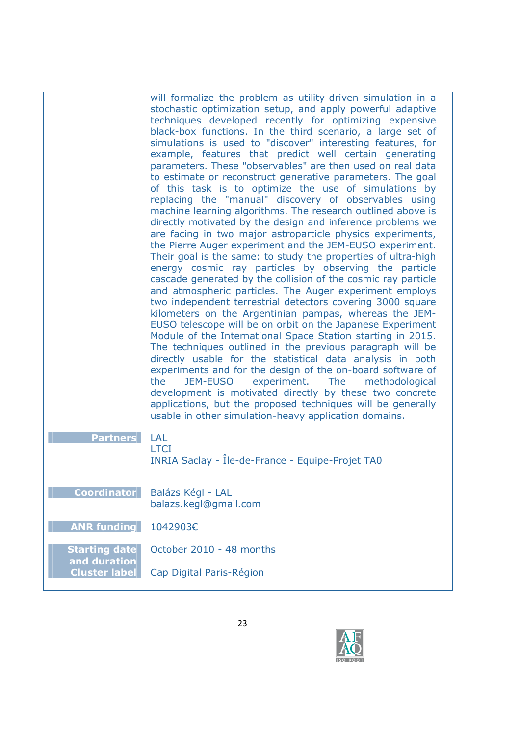will formalize the problem as utility-driven simulation in a stochastic optimization setup, and apply powerful adaptive techniques developed recently for optimizing expensive black-box functions. In the third scenario, a large set of simulations is used to "discover" interesting features, for example, features that predict well certain generating parameters. These "observables" are then used on real data to estimate or reconstruct generative parameters. The goal of this task is to optimize the use of simulations by replacing the "manual" discovery of observables using machine learning algorithms. The research outlined above is directly motivated by the design and inference problems we are facing in two major astroparticle physics experiments, the Pierre Auger experiment and the JEM-EUSO experiment. Their goal is the same: to study the properties of ultra-high energy cosmic ray particles by observing the particle cascade generated by the collision of the cosmic ray particle and atmospheric particles. The Auger experiment employs two independent terrestrial detectors covering 3000 square kilometers on the Argentinian pampas, whereas the JEM-EUSO telescope will be on orbit on the Japanese Experiment Module of the International Space Station starting in 2015. The techniques outlined in the previous paragraph will be directly usable for the statistical data analysis in both experiments and for the design of the on-board software of the JEM-EUSO experiment. The methodological development is motivated directly by these two concrete applications, but the proposed techniques will be generally usable in other simulation-heavy application domains.

|--|--|

**LTCI** 

INRIA Saclay - Île-de-France - Equipe-Projet TA0

**Coordinator** Balázs Kégl - LAL balazs.kegl@gmail.com

**ANR funding** 1042903€

**and duration**

**Starting date**  October 2010 - 48 months

**Cluster label** Cap Digital Paris-Région

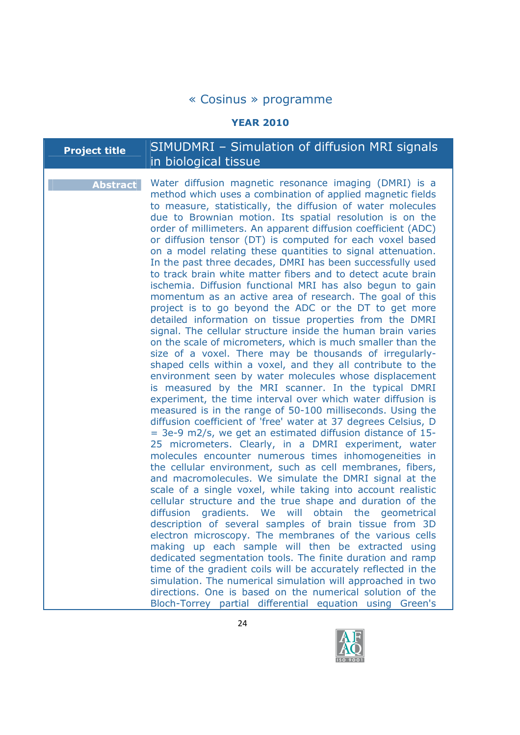#### **YEAR 2010**

# **Project title** SIMUDMRI – Simulation of diffusion MRI signals in biological tissue

**Abstract** Water diffusion magnetic resonance imaging (DMRI) is a method which uses a combination of applied magnetic fields to measure, statistically, the diffusion of water molecules due to Brownian motion. Its spatial resolution is on the order of millimeters. An apparent diffusion coefficient (ADC) or diffusion tensor (DT) is computed for each voxel based on a model relating these quantities to signal attenuation. In the past three decades, DMRI has been successfully used to track brain white matter fibers and to detect acute brain ischemia. Diffusion functional MRI has also begun to gain momentum as an active area of research. The goal of this project is to go beyond the ADC or the DT to get more detailed information on tissue properties from the DMRI signal. The cellular structure inside the human brain varies on the scale of micrometers, which is much smaller than the size of a voxel. There may be thousands of irregularlyshaped cells within a voxel, and they all contribute to the environment seen by water molecules whose displacement is measured by the MRI scanner. In the typical DMRI experiment, the time interval over which water diffusion is measured is in the range of 50-100 milliseconds. Using the diffusion coefficient of 'free' water at 37 degrees Celsius, D = 3e-9 m2/s, we get an estimated diffusion distance of 15- 25 micrometers. Clearly, in a DMRI experiment, water molecules encounter numerous times inhomogeneities in the cellular environment, such as cell membranes, fibers, and macromolecules. We simulate the DMRI signal at the scale of a single voxel, while taking into account realistic cellular structure and the true shape and duration of the diffusion gradients. We will obtain the geometrical description of several samples of brain tissue from 3D electron microscopy. The membranes of the various cells making up each sample will then be extracted using dedicated segmentation tools. The finite duration and ramp time of the gradient coils will be accurately reflected in the simulation. The numerical simulation will approached in two directions. One is based on the numerical solution of the Bloch-Torrey partial differential equation using Green's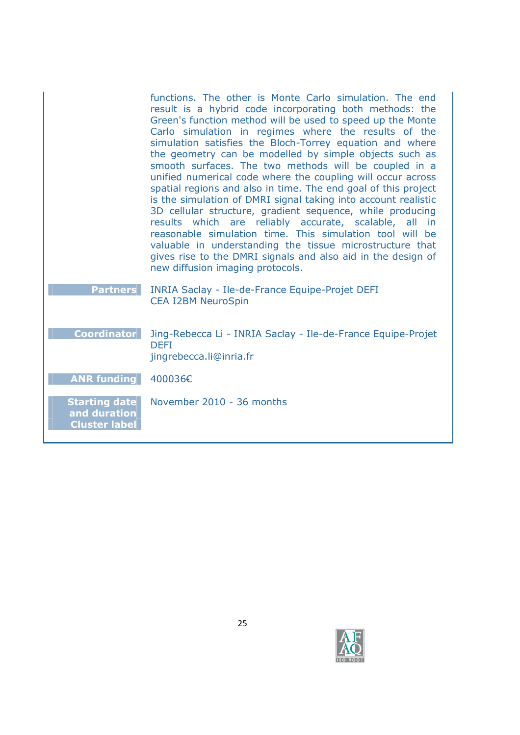|                                                              | functions. The other is Monte Carlo simulation. The end<br>result is a hybrid code incorporating both methods: the<br>Green's function method will be used to speed up the Monte<br>Carlo simulation in regimes where the results of the<br>simulation satisfies the Bloch-Torrey equation and where<br>the geometry can be modelled by simple objects such as<br>smooth surfaces. The two methods will be coupled in a<br>unified numerical code where the coupling will occur across<br>spatial regions and also in time. The end goal of this project<br>is the simulation of DMRI signal taking into account realistic<br>3D cellular structure, gradient sequence, while producing<br>results which are reliably accurate, scalable, all in<br>reasonable simulation time. This simulation tool will be<br>valuable in understanding the tissue microstructure that<br>gives rise to the DMRI signals and also aid in the design of<br>new diffusion imaging protocols. |
|--------------------------------------------------------------|------------------------------------------------------------------------------------------------------------------------------------------------------------------------------------------------------------------------------------------------------------------------------------------------------------------------------------------------------------------------------------------------------------------------------------------------------------------------------------------------------------------------------------------------------------------------------------------------------------------------------------------------------------------------------------------------------------------------------------------------------------------------------------------------------------------------------------------------------------------------------------------------------------------------------------------------------------------------------|
| <b>Partners</b>                                              | <b>INRIA Saclay - Ile-de-France Equipe-Projet DEFI</b><br><b>CEA I2BM NeuroSpin</b>                                                                                                                                                                                                                                                                                                                                                                                                                                                                                                                                                                                                                                                                                                                                                                                                                                                                                          |
| <b>Coordinator</b>                                           | Jing-Rebecca Li - INRIA Saclay - Ile-de-France Equipe-Projet<br><b>DEFI</b><br>jingrebecca.li@inria.fr                                                                                                                                                                                                                                                                                                                                                                                                                                                                                                                                                                                                                                                                                                                                                                                                                                                                       |
| <b>ANR funding</b>                                           | 400036€                                                                                                                                                                                                                                                                                                                                                                                                                                                                                                                                                                                                                                                                                                                                                                                                                                                                                                                                                                      |
| <b>Starting date</b><br>and duration<br><b>Cluster label</b> | November 2010 - 36 months                                                                                                                                                                                                                                                                                                                                                                                                                                                                                                                                                                                                                                                                                                                                                                                                                                                                                                                                                    |

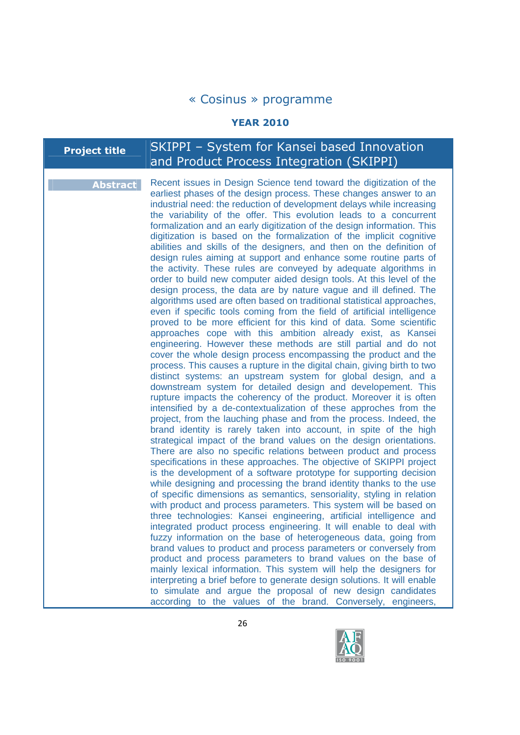#### **YEAR 2010**

# **Project title** SKIPPI – System for Kansei based Innovation and Product Process Integration (SKIPPI)

**Abstract** Recent issues in Design Science tend toward the digitization of the earliest phases of the design process. These changes answer to an industrial need: the reduction of development delays while increasing the variability of the offer. This evolution leads to a concurrent formalization and an early digitization of the design information. This digitization is based on the formalization of the implicit cognitive abilities and skills of the designers, and then on the definition of design rules aiming at support and enhance some routine parts of the activity. These rules are conveyed by adequate algorithms in order to build new computer aided design tools. At this level of the design process, the data are by nature vague and ill defined. The algorithms used are often based on traditional statistical approaches, even if specific tools coming from the field of artificial intelligence proved to be more efficient for this kind of data. Some scientific approaches cope with this ambition already exist, as Kansei engineering. However these methods are still partial and do not cover the whole design process encompassing the product and the process. This causes a rupture in the digital chain, giving birth to two distinct systems: an upstream system for global design, and a downstream system for detailed design and developement. This rupture impacts the coherency of the product. Moreover it is often intensified by a de-contextualization of these approches from the project, from the lauching phase and from the process. Indeed, the brand identity is rarely taken into account, in spite of the high strategical impact of the brand values on the design orientations. There are also no specific relations between product and process specifications in these approaches. The objective of SKIPPI project is the development of a software prototype for supporting decision while designing and processing the brand identity thanks to the use of specific dimensions as semantics, sensoriality, styling in relation with product and process parameters. This system will be based on three technologies: Kansei engineering, artificial intelligence and integrated product process engineering. It will enable to deal with fuzzy information on the base of heterogeneous data, going from brand values to product and process parameters or conversely from product and process parameters to brand values on the base of mainly lexical information. This system will help the designers for interpreting a brief before to generate design solutions. It will enable to simulate and argue the proposal of new design candidates according to the values of the brand. Conversely, engineers,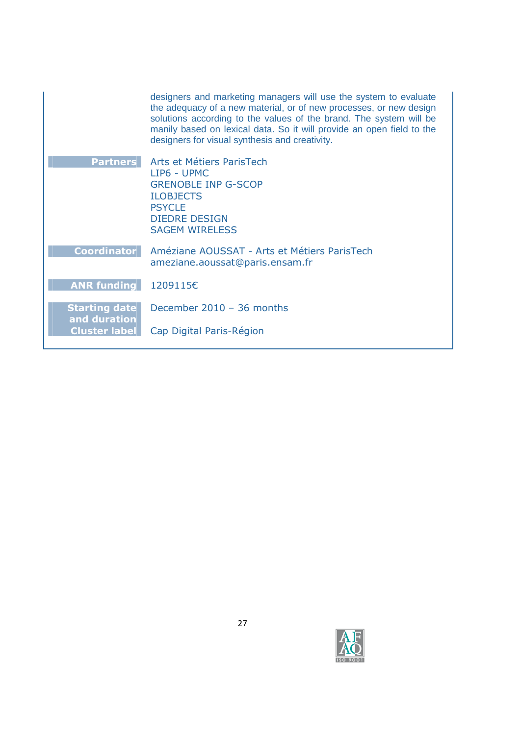|                                      | designers and marketing managers will use the system to evaluate<br>the adequacy of a new material, or of new processes, or new design<br>solutions according to the values of the brand. The system will be<br>manily based on lexical data. So it will provide an open field to the<br>designers for visual synthesis and creativity. |
|--------------------------------------|-----------------------------------------------------------------------------------------------------------------------------------------------------------------------------------------------------------------------------------------------------------------------------------------------------------------------------------------|
| <b>Partners</b>                      | Arts et Métiers ParisTech                                                                                                                                                                                                                                                                                                               |
|                                      | LIP6 - UPMC<br><b>GRENOBLE INP G-SCOP</b>                                                                                                                                                                                                                                                                                               |
|                                      | <b>ILOBJECTS</b>                                                                                                                                                                                                                                                                                                                        |
|                                      | <b>PSYCLE</b>                                                                                                                                                                                                                                                                                                                           |
|                                      | <b>DIEDRE DESIGN</b><br><b>SAGEM WIRELESS</b>                                                                                                                                                                                                                                                                                           |
|                                      |                                                                                                                                                                                                                                                                                                                                         |
| <b>Coordinator</b>                   | Améziane AOUSSAT - Arts et Métiers ParisTech<br>ameziane.aoussat@paris.ensam.fr                                                                                                                                                                                                                                                         |
| <b>ANR funding</b>                   | 1209115€                                                                                                                                                                                                                                                                                                                                |
|                                      |                                                                                                                                                                                                                                                                                                                                         |
| <b>Starting date</b>                 | December 2010 - 36 months                                                                                                                                                                                                                                                                                                               |
| and duration<br><b>Cluster label</b> | Cap Digital Paris-Région                                                                                                                                                                                                                                                                                                                |

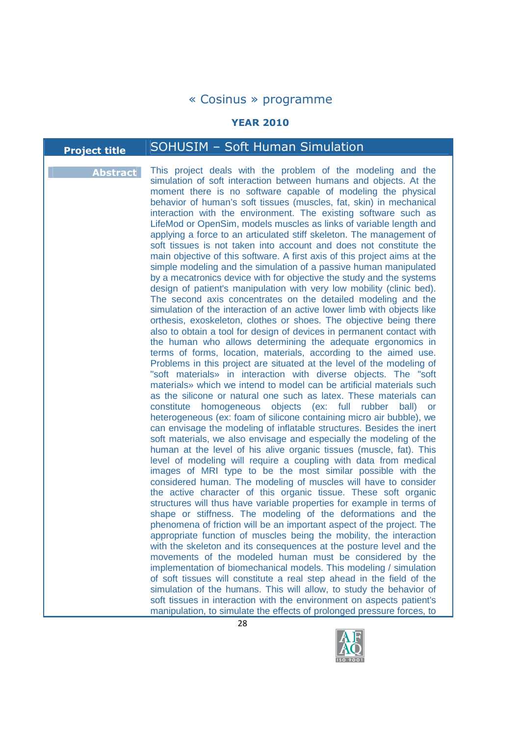#### **YEAR 2010**

# **Project title** SOHUSIM – Soft Human Simulation

**Abstract** This project deals with the problem of the modeling and the simulation of soft interaction between humans and objects. At the moment there is no software capable of modeling the physical behavior of human's soft tissues (muscles, fat, skin) in mechanical interaction with the environment. The existing software such as LifeMod or OpenSim, models muscles as links of variable length and applying a force to an articulated stiff skeleton. The management of soft tissues is not taken into account and does not constitute the main objective of this software. A first axis of this project aims at the simple modeling and the simulation of a passive human manipulated by a mecatronics device with for objective the study and the systems design of patient's manipulation with very low mobility (clinic bed). The second axis concentrates on the detailed modeling and the simulation of the interaction of an active lower limb with objects like orthesis, exoskeleton, clothes or shoes. The objective being there also to obtain a tool for design of devices in permanent contact with the human who allows determining the adequate ergonomics in terms of forms, location, materials, according to the aimed use. Problems in this project are situated at the level of the modeling of "soft materials» in interaction with diverse objects. The "soft materials» which we intend to model can be artificial materials such as the silicone or natural one such as latex. These materials can constitute homogeneous objects (ex: full rubber ball) or heterogeneous (ex: foam of silicone containing micro air bubble), we can envisage the modeling of inflatable structures. Besides the inert soft materials, we also envisage and especially the modeling of the human at the level of his alive organic tissues (muscle, fat). This level of modeling will require a coupling with data from medical images of MRI type to be the most similar possible with the considered human. The modeling of muscles will have to consider the active character of this organic tissue. These soft organic structures will thus have variable properties for example in terms of shape or stiffness. The modeling of the deformations and the phenomena of friction will be an important aspect of the project. The appropriate function of muscles being the mobility, the interaction with the skeleton and its consequences at the posture level and the movements of the modeled human must be considered by the implementation of biomechanical models. This modeling / simulation of soft tissues will constitute a real step ahead in the field of the simulation of the humans. This will allow, to study the behavior of soft tissues in interaction with the environment on aspects patient's manipulation, to simulate the effects of prolonged pressure forces, to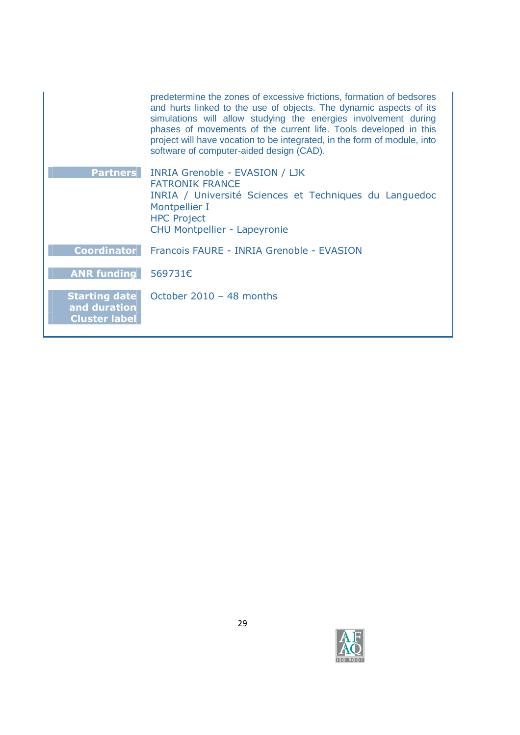|                                                              | predetermine the zones of excessive frictions, formation of bedsores<br>and hurts linked to the use of objects. The dynamic aspects of its<br>simulations will allow studying the energies involvement during<br>phases of movements of the current life. Tools developed in this<br>project will have vocation to be integrated, in the form of module, into<br>software of computer-aided design (CAD). |
|--------------------------------------------------------------|-----------------------------------------------------------------------------------------------------------------------------------------------------------------------------------------------------------------------------------------------------------------------------------------------------------------------------------------------------------------------------------------------------------|
| <b>Partners</b>                                              | <b>INRIA Grenoble - EVASION / LJK</b><br><b>FATRONIK FRANCE</b><br>INRIA / Université Sciences et Techniques du Languedoc<br>Montpellier I<br><b>HPC Project</b><br><b>CHU Montpellier - Lapeyronie</b>                                                                                                                                                                                                   |
| <b>Coordinator</b>                                           | Francois FAURE - INRIA Grenoble - EVASION                                                                                                                                                                                                                                                                                                                                                                 |
| <b>ANR funding</b>                                           | 569731€                                                                                                                                                                                                                                                                                                                                                                                                   |
| <b>Starting date</b><br>and duration<br><b>Cluster label</b> | October $2010 - 48$ months                                                                                                                                                                                                                                                                                                                                                                                |

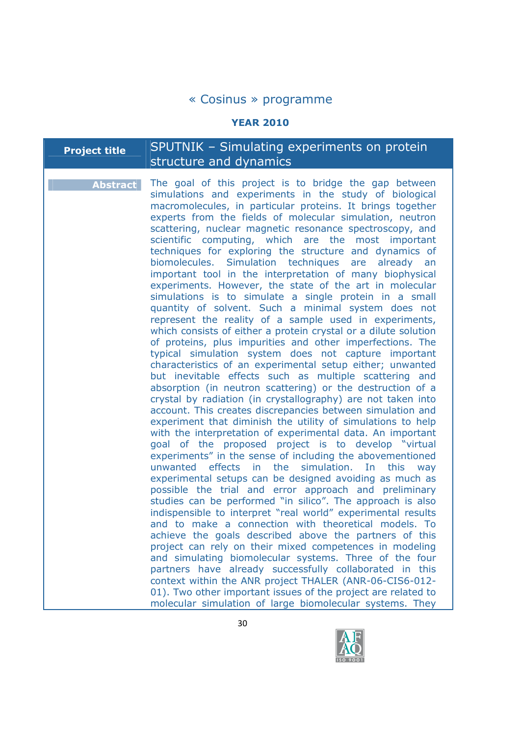#### **YEAR 2010**

# **Project title** SPUTNIK – Simulating experiments on protein structure and dynamics

**Abstract** The goal of this project is to bridge the gap between simulations and experiments in the study of biological macromolecules, in particular proteins. It brings together experts from the fields of molecular simulation, neutron scattering, nuclear magnetic resonance spectroscopy, and scientific computing, which are the most important techniques for exploring the structure and dynamics of biomolecules. Simulation techniques are already an important tool in the interpretation of many biophysical experiments. However, the state of the art in molecular simulations is to simulate a single protein in a small quantity of solvent. Such a minimal system does not represent the reality of a sample used in experiments, which consists of either a protein crystal or a dilute solution of proteins, plus impurities and other imperfections. The typical simulation system does not capture important characteristics of an experimental setup either; unwanted but inevitable effects such as multiple scattering and absorption (in neutron scattering) or the destruction of a crystal by radiation (in crystallography) are not taken into account. This creates discrepancies between simulation and experiment that diminish the utility of simulations to help with the interpretation of experimental data. An important goal of the proposed project is to develop "virtual experiments" in the sense of including the abovementioned unwanted effects in the simulation. In this way experimental setups can be designed avoiding as much as possible the trial and error approach and preliminary studies can be performed "in silico". The approach is also indispensible to interpret "real world" experimental results and to make a connection with theoretical models. To achieve the goals described above the partners of this project can rely on their mixed competences in modeling and simulating biomolecular systems. Three of the four partners have already successfully collaborated in this context within the ANR project THALER (ANR-06-CIS6-012- 01). Two other important issues of the project are related to molecular simulation of large biomolecular systems. They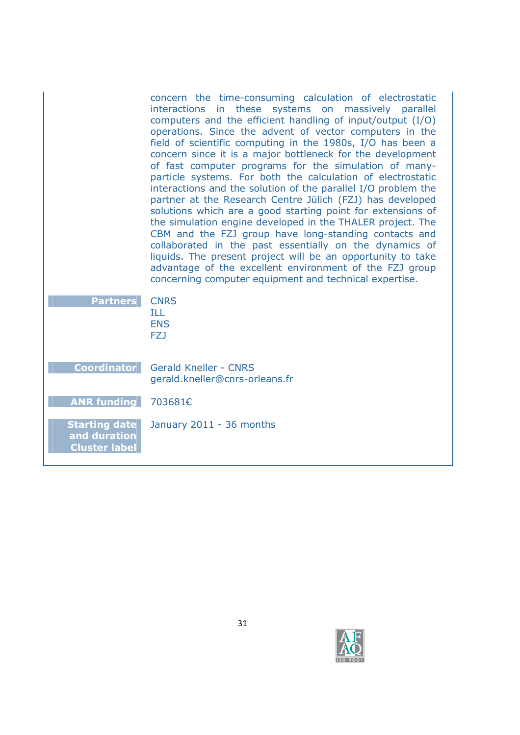|                                                              | concern the time-consuming calculation of electrostatic<br>interactions in these systems on massively parallel<br>computers and the efficient handling of input/output (I/O)<br>operations. Since the advent of vector computers in the<br>field of scientific computing in the 1980s, I/O has been a<br>concern since it is a major bottleneck for the development<br>of fast computer programs for the simulation of many-<br>particle systems. For both the calculation of electrostatic<br>interactions and the solution of the parallel I/O problem the<br>partner at the Research Centre Jülich (FZJ) has developed<br>solutions which are a good starting point for extensions of<br>the simulation engine developed in the THALER project. The<br>CBM and the FZJ group have long-standing contacts and<br>collaborated in the past essentially on the dynamics of<br>liquids. The present project will be an opportunity to take<br>advantage of the excellent environment of the FZJ group<br>concerning computer equipment and technical expertise. |
|--------------------------------------------------------------|----------------------------------------------------------------------------------------------------------------------------------------------------------------------------------------------------------------------------------------------------------------------------------------------------------------------------------------------------------------------------------------------------------------------------------------------------------------------------------------------------------------------------------------------------------------------------------------------------------------------------------------------------------------------------------------------------------------------------------------------------------------------------------------------------------------------------------------------------------------------------------------------------------------------------------------------------------------------------------------------------------------------------------------------------------------|
| <b>Partners</b>                                              | <b>CNRS</b><br>ILL<br><b>ENS</b><br>FZJ                                                                                                                                                                                                                                                                                                                                                                                                                                                                                                                                                                                                                                                                                                                                                                                                                                                                                                                                                                                                                        |
| <b>Coordinator</b>                                           | <b>Gerald Kneller - CNRS</b><br>gerald.kneller@cnrs-orleans.fr                                                                                                                                                                                                                                                                                                                                                                                                                                                                                                                                                                                                                                                                                                                                                                                                                                                                                                                                                                                                 |
| <b>ANR funding</b>                                           | 703681€                                                                                                                                                                                                                                                                                                                                                                                                                                                                                                                                                                                                                                                                                                                                                                                                                                                                                                                                                                                                                                                        |
| <b>Starting date</b><br>and duration<br><b>Cluster label</b> | January 2011 - 36 months                                                                                                                                                                                                                                                                                                                                                                                                                                                                                                                                                                                                                                                                                                                                                                                                                                                                                                                                                                                                                                       |

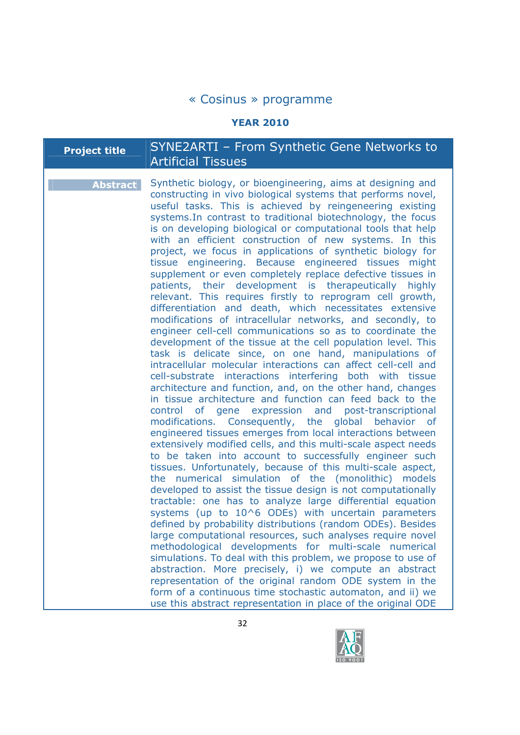#### **YEAR 2010**

# **Project title** SYNE2ARTI – From Synthetic Gene Networks to Artificial Tissues

**Abstract** Synthetic biology, or bioengineering, aims at designing and constructing in vivo biological systems that performs novel, useful tasks. This is achieved by reingeneering existing systems.In contrast to traditional biotechnology, the focus is on developing biological or computational tools that help with an efficient construction of new systems. In this project, we focus in applications of synthetic biology for tissue engineering. Because engineered tissues might supplement or even completely replace defective tissues in patients, their development is therapeutically highly relevant. This requires firstly to reprogram cell growth, differentiation and death, which necessitates extensive modifications of intracellular networks, and secondly, to engineer cell-cell communications so as to coordinate the development of the tissue at the cell population level. This task is delicate since, on one hand, manipulations of intracellular molecular interactions can affect cell-cell and cell-substrate interactions interfering both with tissue architecture and function, and, on the other hand, changes in tissue architecture and function can feed back to the control of gene expression and post-transcriptional modifications. Consequently, the global behavior of engineered tissues emerges from local interactions between extensively modified cells, and this multi-scale aspect needs to be taken into account to successfully engineer such tissues. Unfortunately, because of this multi-scale aspect, the numerical simulation of the (monolithic) models developed to assist the tissue design is not computationally tractable: one has to analyze large differential equation systems (up to  $10^6$  ODEs) with uncertain parameters defined by probability distributions (random ODEs). Besides large computational resources, such analyses require novel methodological developments for multi-scale numerical simulations. To deal with this problem, we propose to use of abstraction. More precisely, i) we compute an abstract representation of the original random ODE system in the form of a continuous time stochastic automaton, and ii) we use this abstract representation in place of the original ODE